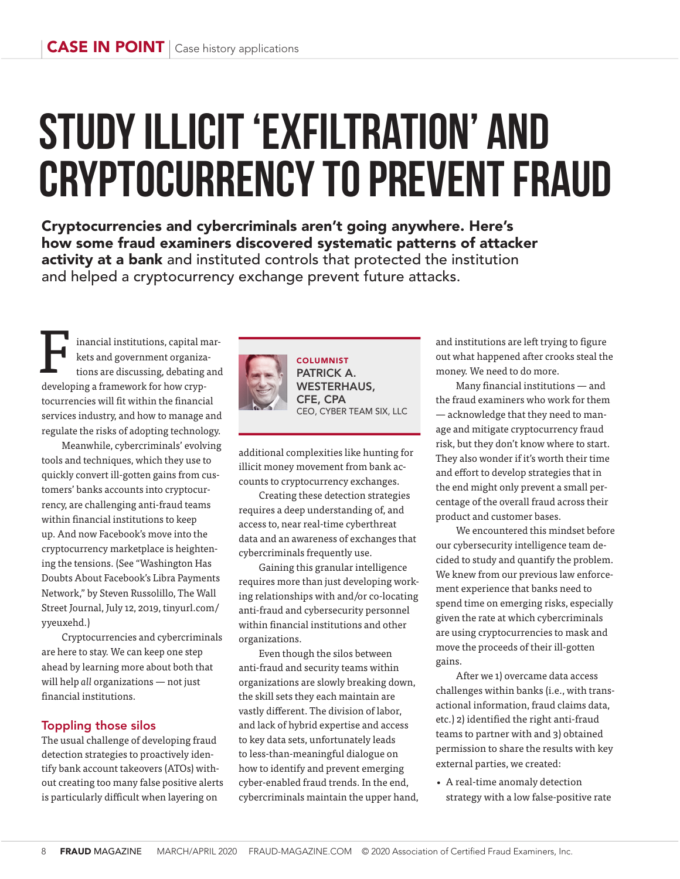# **Study illicit 'exfiltration' and cryptocurrency to prevent fraud**

Cryptocurrencies and cybercriminals aren't going anywhere. Here's how some fraud examiners discovered systematic patterns of attacker activity at a bank and instituted controls that protected the institution and helped a cryptocurrency exchange prevent future attacks.

inancial institutions, capital markets and government organizations are discussing, debating and developing a framework for how cryptocurrencies will fit within the financial services industry, and how to manage and regulate the risks of adopting technology. F

Meanwhile, cybercriminals' evolving tools and techniques, which they use to quickly convert ill-gotten gains from customers' banks accounts into cryptocurrency, are challenging anti-fraud teams within financial institutions to keep up. And now Facebook's move into the cryptocurrency marketplace is heightening the tensions. (See "Washington Has Doubts About Facebook's Libra Payments Network," by Steven Russolillo, The Wall Street Journal, July 12, 2019, tinyurl.com/ yyeuxehd.)

Cryptocurrencies and cybercriminals are here to stay. We can keep one step ahead by learning more about both that will help *all* organizations — not just financial institutions.

## Toppling those silos

The usual challenge of developing fraud detection strategies to proactively identify bank account takeovers (ATOs) without creating too many false positive alerts is particularly difficult when layering on



PATRICK A. WESTERHAUS, CFE, CPA CEO, CYBER TEAM SIX, LLC

additional complexities like hunting for illicit money movement from bank accounts to cryptocurrency exchanges.

Creating these detection strategies requires a deep understanding of, and access to, near real-time cyberthreat data and an awareness of exchanges that cybercriminals frequently use.

Gaining this granular intelligence requires more than just developing working relationships with and/or co-locating anti-fraud and cybersecurity personnel within financial institutions and other organizations.

Even though the silos between anti-fraud and security teams within organizations are slowly breaking down, the skill sets they each maintain are vastly different. The division of labor, and lack of hybrid expertise and access to key data sets, unfortunately leads to less-than-meaningful dialogue on how to identify and prevent emerging cyber-enabled fraud trends. In the end, cybercriminals maintain the upper hand, and institutions are left trying to figure out what happened after crooks steal the money. We need to do more.

Many financial institutions  $-$  and the fraud examiners who work for them — acknowledge that they need to manage and mitigate cryptocurrency fraud risk, but they don't know where to start. They also wonder if it's worth their time and effort to develop strategies that in the end might only prevent a small percentage of the overall fraud across their product and customer bases.

We encountered this mindset before our cybersecurity intelligence team decided to study and quantify the problem. We knew from our previous law enforcement experience that banks need to spend time on emerging risks, especially given the rate at which cybercriminals are using cryptocurrencies to mask and move the proceeds of their ill-gotten gains.

After we 1) overcame data access challenges within banks (i.e., with transactional information, fraud claims data, etc.) 2) identified the right anti-fraud teams to partner with and 3) obtained permission to share the results with key external parties, we created:

• A real-time anomaly detection strategy with a low false-positive rate